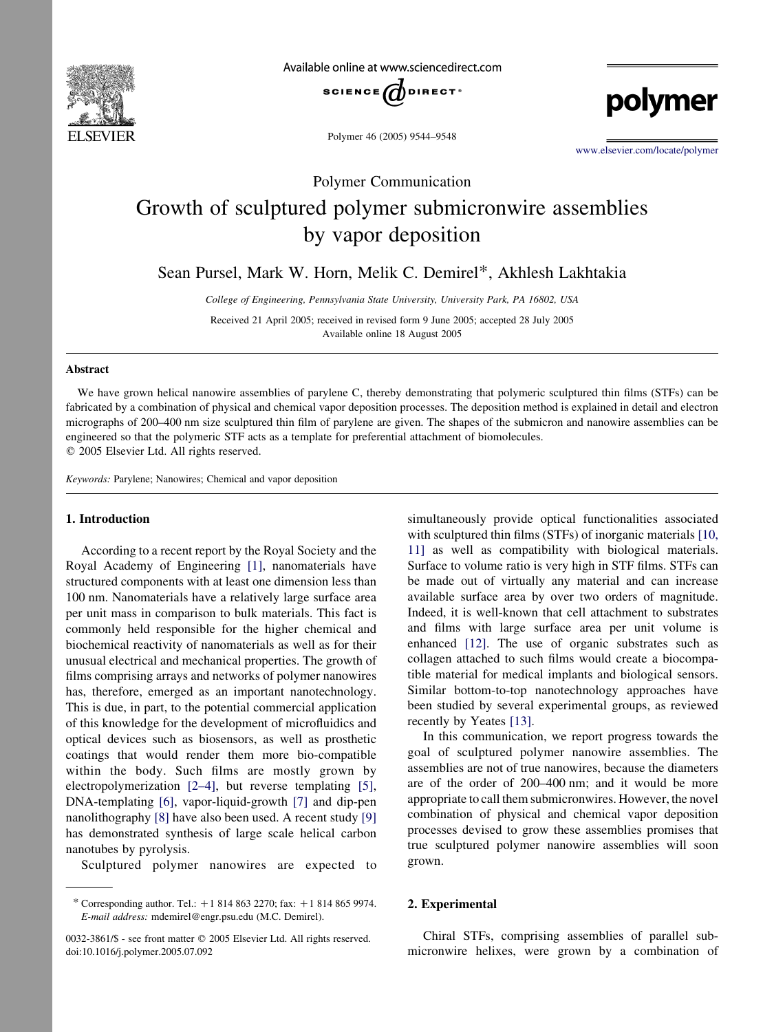

Available online at www.sciencedirect.com



Polymer 46 (2005) 9544–9548

[www.elsevier.com/locate/polymer](http://www.elsevier.com/locate/polymer)

polymer

# Polymer Communication Growth of sculptured polymer submicronwire assemblies by vapor deposition

Sean Pursel, Mark W. Horn, Melik C. Demirel\*, Akhlesh Lakhtakia

College of Engineering, Pennsylvania State University, University Park, PA 16802, USA

Received 21 April 2005; received in revised form 9 June 2005; accepted 28 July 2005 Available online 18 August 2005

### Abstract

We have grown helical nanowire assemblies of parylene C, thereby demonstrating that polymeric sculptured thin films (STFs) can be fabricated by a combination of physical and chemical vapor deposition processes. The deposition method is explained in detail and electron micrographs of 200–400 nm size sculptured thin film of parylene are given. The shapes of the submicron and nanowire assemblies can be engineered so that the polymeric STF acts as a template for preferential attachment of biomolecules.  $©$  2005 Elsevier Ltd. All rights reserved.

Keywords: Parylene; Nanowires; Chemical and vapor deposition

#### 1. Introduction

According to a recent report by the Royal Society and the Royal Academy of Engineering [\[1\],](#page-4-0) nanomaterials have structured components with at least one dimension less than 100 nm. Nanomaterials have a relatively large surface area per unit mass in comparison to bulk materials. This fact is commonly held responsible for the higher chemical and biochemical reactivity of nanomaterials as well as for their unusual electrical and mechanical properties. The growth of films comprising arrays and networks of polymer nanowires has, therefore, emerged as an important nanotechnology. This is due, in part, to the potential commercial application of this knowledge for the development of microfluidics and optical devices such as biosensors, as well as prosthetic coatings that would render them more bio-compatible within the body. Such films are mostly grown by electropolymerization [\[2–4\],](#page-4-0) but reverse templating [\[5\]](#page-4-0), DNA-templating [\[6\],](#page-4-0) vapor-liquid-growth [\[7\]](#page-4-0) and dip-pen nanolithography [\[8\]](#page-4-0) have also been used. A recent study [\[9\]](#page-4-0) has demonstrated synthesis of large scale helical carbon nanotubes by pyrolysis.

Sculptured polymer nanowires are expected to

simultaneously provide optical functionalities associated with sculptured thin films (STFs) of inorganic materials [\[10,](#page-4-0) [11\]](#page-4-0) as well as compatibility with biological materials. Surface to volume ratio is very high in STF films. STFs can be made out of virtually any material and can increase available surface area by over two orders of magnitude. Indeed, it is well-known that cell attachment to substrates and films with large surface area per unit volume is enhanced [\[12\]](#page-4-0). The use of organic substrates such as collagen attached to such films would create a biocompatible material for medical implants and biological sensors. Similar bottom-to-top nanotechnology approaches have been studied by several experimental groups, as reviewed recently by Yeates [\[13\].](#page-4-0)

In this communication, we report progress towards the goal of sculptured polymer nanowire assemblies. The assemblies are not of true nanowires, because the diameters are of the order of 200–400 nm; and it would be more appropriate to call them submicronwires. However, the novel combination of physical and chemical vapor deposition processes devised to grow these assemblies promises that true sculptured polymer nanowire assemblies will soon grown.

#### 2. Experimental

Chiral STFs, comprising assemblies of parallel submicronwire helixes, were grown by a combination of

<sup>\*</sup> Corresponding author. Tel.:  $+18148632270$ ; fax:  $+18148659974$ . E-mail address: mdemirel@engr.psu.edu (M.C. Demirel).

<sup>0032-3861/\$ -</sup> see front matter © 2005 Elsevier Ltd. All rights reserved. doi:10.1016/j.polymer.2005.07.092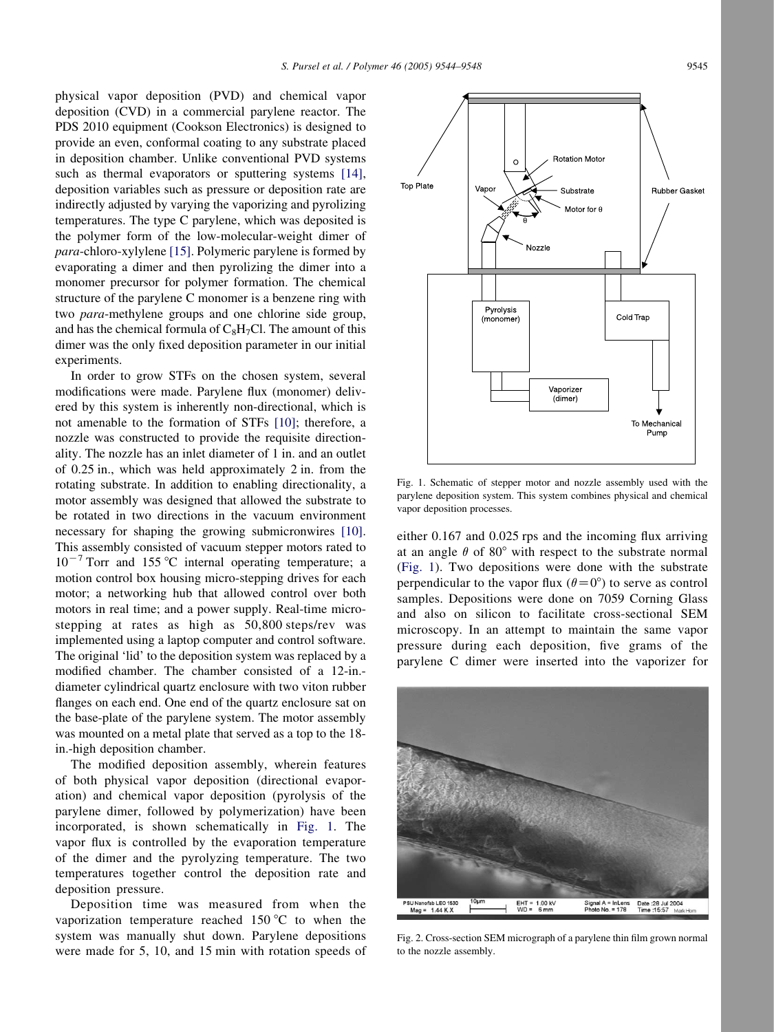<span id="page-1-0"></span>physical vapor deposition (PVD) and chemical vapor deposition (CVD) in a commercial parylene reactor. The PDS 2010 equipment (Cookson Electronics) is designed to provide an even, conformal coating to any substrate placed in deposition chamber. Unlike conventional PVD systems such as thermal evaporators or sputtering systems [\[14\]](#page-4-0), deposition variables such as pressure or deposition rate are indirectly adjusted by varying the vaporizing and pyrolizing temperatures. The type C parylene, which was deposited is the polymer form of the low-molecular-weight dimer of para-chloro-xylylene [\[15\].](#page-4-0) Polymeric parylene is formed by evaporating a dimer and then pyrolizing the dimer into a monomer precursor for polymer formation. The chemical structure of the parylene C monomer is a benzene ring with two para-methylene groups and one chlorine side group, and has the chemical formula of  $C_8H_7Cl$ . The amount of this dimer was the only fixed deposition parameter in our initial experiments.

In order to grow STFs on the chosen system, several modifications were made. Parylene flux (monomer) delivered by this system is inherently non-directional, which is not amenable to the formation of STFs [\[10\];](#page-4-0) therefore, a nozzle was constructed to provide the requisite directionality. The nozzle has an inlet diameter of 1 in. and an outlet of 0.25 in., which was held approximately 2 in. from the rotating substrate. In addition to enabling directionality, a motor assembly was designed that allowed the substrate to be rotated in two directions in the vacuum environment necessary for shaping the growing submicronwires [\[10\]](#page-4-0). This assembly consisted of vacuum stepper motors rated to  $10^{-7}$  Torr and 155 °C internal operating temperature; a motion control box housing micro-stepping drives for each motor; a networking hub that allowed control over both motors in real time; and a power supply. Real-time microstepping at rates as high as 50,800 steps/rev was implemented using a laptop computer and control software. The original 'lid' to the deposition system was replaced by a modified chamber. The chamber consisted of a 12-in. diameter cylindrical quartz enclosure with two viton rubber flanges on each end. One end of the quartz enclosure sat on the base-plate of the parylene system. The motor assembly was mounted on a metal plate that served as a top to the 18 in.-high deposition chamber.

The modified deposition assembly, wherein features of both physical vapor deposition (directional evaporation) and chemical vapor deposition (pyrolysis of the parylene dimer, followed by polymerization) have been incorporated, is shown schematically in Fig. 1. The vapor flux is controlled by the evaporation temperature of the dimer and the pyrolyzing temperature. The two temperatures together control the deposition rate and deposition pressure.

Deposition time was measured from when the vaporization temperature reached 150  $\degree$ C to when the system was manually shut down. Parylene depositions were made for 5, 10, and 15 min with rotation speeds of



Fig. 1. Schematic of stepper motor and nozzle assembly used with the parylene deposition system. This system combines physical and chemical vapor deposition processes.

either 0.167 and 0.025 rps and the incoming flux arriving at an angle  $\theta$  of 80 $^{\circ}$  with respect to the substrate normal (Fig. 1). Two depositions were done with the substrate perpendicular to the vapor flux  $(\theta=0^{\circ})$  to serve as control samples. Depositions were done on 7059 Corning Glass and also on silicon to facilitate cross-sectional SEM microscopy. In an attempt to maintain the same vapor pressure during each deposition, five grams of the parylene C dimer were inserted into the vaporizer for



Fig. 2. Cross-section SEM micrograph of a parylene thin film grown normal to the nozzle assembly.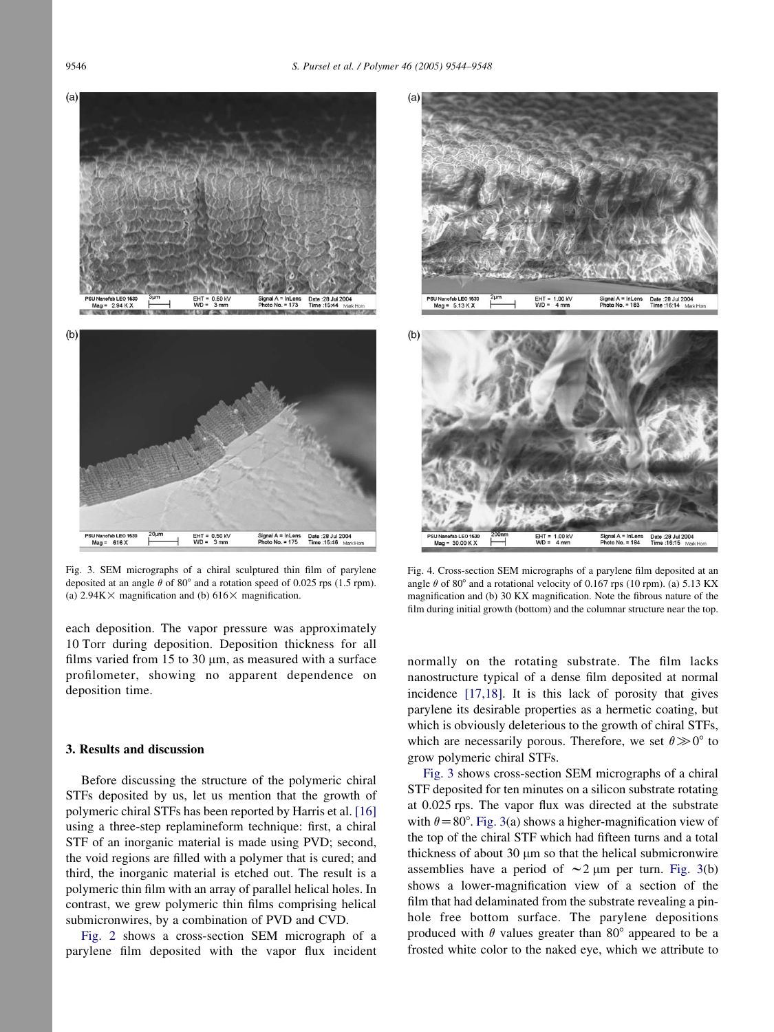<span id="page-2-0"></span>



Fig. 3. SEM micrographs of a chiral sculptured thin film of parylene deposited at an angle  $\theta$  of 80° and a rotation speed of 0.025 rps (1.5 rpm). (a)  $2.94K \times$  magnification and (b)  $616 \times$  magnification.

Signal A = InLens<br>Photo No. = 175

each deposition. The vapor pressure was approximately 10 Torr during deposition. Deposition thickness for all films varied from 15 to 30  $\mu$ m, as measured with a surface profilometer, showing no apparent dependence on deposition time.

#### 3. Results and discussion

 $Maa = 616X$ 

Before discussing the structure of the polymeric chiral STFs deposited by us, let us mention that the growth of polymeric chiral STFs has been reported by Harris et al. [\[16\]](#page-4-0) using a three-step replamineform technique: first, a chiral STF of an inorganic material is made using PVD; second, the void regions are filled with a polymer that is cured; and third, the inorganic material is etched out. The result is a polymeric thin film with an array of parallel helical holes. In contrast, we grew polymeric thin films comprising helical submicronwires, by a combination of PVD and CVD.

[Fig. 2](#page-1-0) shows a cross-section SEM micrograph of a parylene film deposited with the vapor flux incident



Fig. 4. Cross-section SEM micrographs of a parylene film deposited at an angle  $\theta$  of 80° and a rotational velocity of 0.167 rps (10 rpm). (a) 5.13 KX magnification and (b) 30 KX magnification. Note the fibrous nature of the film during initial growth (bottom) and the columnar structure near the top.

normally on the rotating substrate. The film lacks nanostructure typical of a dense film deposited at normal incidence [\[17,18\].](#page-4-0) It is this lack of porosity that gives parylene its desirable properties as a hermetic coating, but which is obviously deleterious to the growth of chiral STFs, which are necessarily porous. Therefore, we set  $\theta \gg 0^{\circ}$  to grow polymeric chiral STFs.

Fig. 3 shows cross-section SEM micrographs of a chiral STF deposited for ten minutes on a silicon substrate rotating at 0.025 rps. The vapor flux was directed at the substrate with  $\theta = 80^\circ$ . Fig. 3(a) shows a higher-magnification view of the top of the chiral STF which had fifteen turns and a total thickness of about  $30 \mu m$  so that the helical submicronwire assemblies have a period of  $\sim$  2 µm per turn. Fig. 3(b) shows a lower-magnification view of a section of the film that had delaminated from the substrate revealing a pinhole free bottom surface. The parylene depositions produced with  $\theta$  values greater than 80 $^{\circ}$  appeared to be a frosted white color to the naked eye, which we attribute to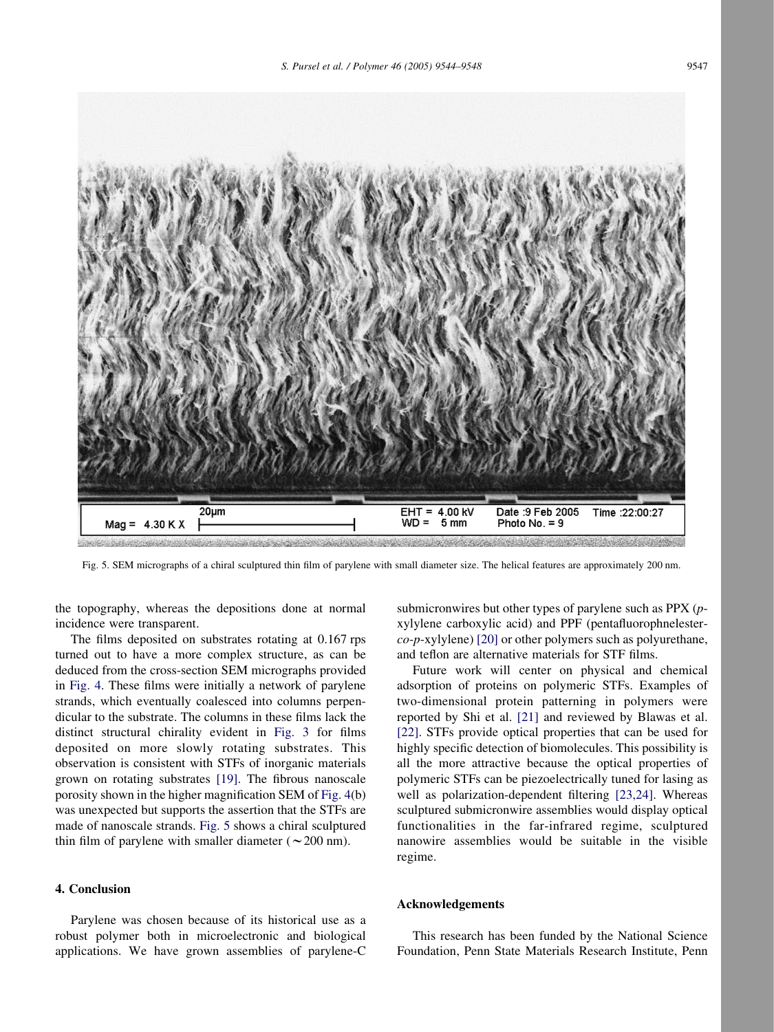

Fig. 5. SEM micrographs of a chiral sculptured thin film of parylene with small diameter size. The helical features are approximately 200 nm.

the topography, whereas the depositions done at normal incidence were transparent.

The films deposited on substrates rotating at 0.167 rps turned out to have a more complex structure, as can be deduced from the cross-section SEM micrographs provided in [Fig. 4.](#page-2-0) These films were initially a network of parylene strands, which eventually coalesced into columns perpendicular to the substrate. The columns in these films lack the distinct structural chirality evident in [Fig. 3](#page-2-0) for films deposited on more slowly rotating substrates. This observation is consistent with STFs of inorganic materials grown on rotating substrates [\[19\]](#page-4-0). The fibrous nanoscale porosity shown in the higher magnification SEM of [Fig. 4\(](#page-2-0)b) was unexpected but supports the assertion that the STFs are made of nanoscale strands. Fig. 5 shows a chiral sculptured thin film of parylene with smaller diameter ( $\sim$  200 nm).

## 4. Conclusion

Parylene was chosen because of its historical use as a robust polymer both in microelectronic and biological applications. We have grown assemblies of parylene-C submicronwires but other types of parylene such as PPX (pxylylene carboxylic acid) and PPF (pentafluorophnelester $co-p$ -xylylene) [\[20\]](#page-4-0) or other polymers such as polyurethane, and teflon are alternative materials for STF films.

Future work will center on physical and chemical adsorption of proteins on polymeric STFs. Examples of two-dimensional protein patterning in polymers were reported by Shi et al. [\[21\]](#page-4-0) and reviewed by Blawas et al. [\[22\]](#page-4-0). STFs provide optical properties that can be used for highly specific detection of biomolecules. This possibility is all the more attractive because the optical properties of polymeric STFs can be piezoelectrically tuned for lasing as well as polarization-dependent filtering [\[23,24\].](#page-4-0) Whereas sculptured submicronwire assemblies would display optical functionalities in the far-infrared regime, sculptured nanowire assemblies would be suitable in the visible regime.

#### Acknowledgements

This research has been funded by the National Science Foundation, Penn State Materials Research Institute, Penn